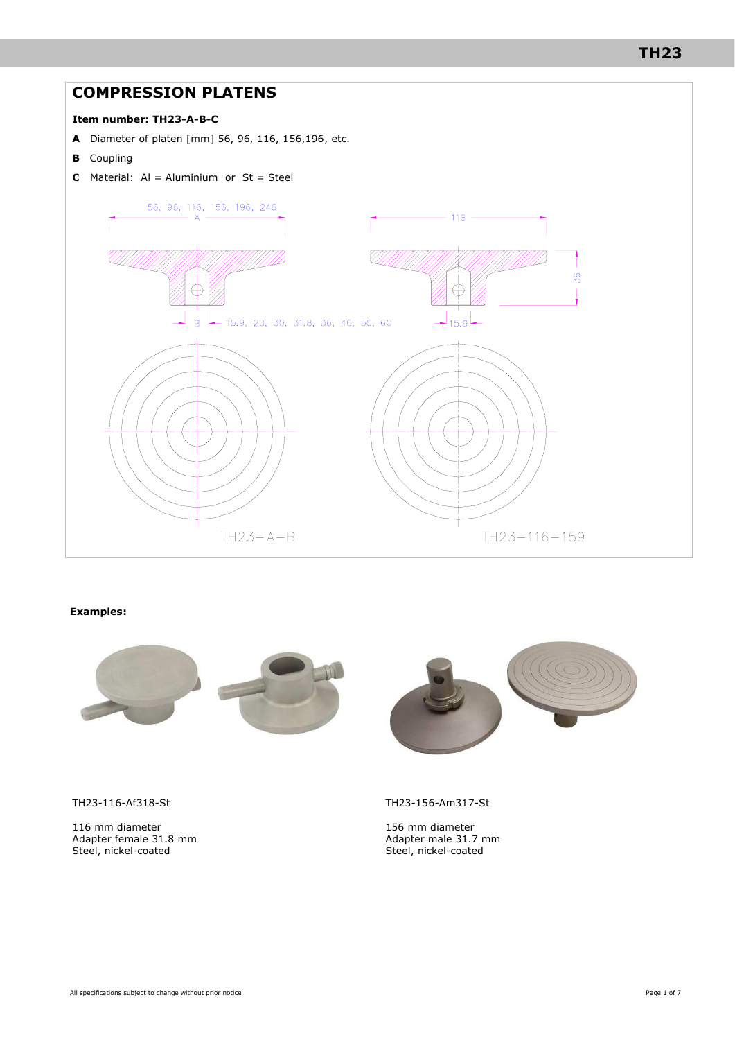# **TH23**

# **COMPRESSION PLATENS Item number: TH23-A-B-C A** Diameter of platen [mm] 56, 96, 116, 156,196, etc. **B** Coupling **C** Material:  $AI =$  Aluminium or  $St =$  Steel 56, 96, 116, 156, 196, 246  $\mathsf{A}$ 116



#### **Examples:**



TH23-116-Af318-St

116 mm diameter Adapter female 31.8 mm Steel, nickel-coated

TH23-156-Am317-St

156 mm diameter Adapter male 31.7 mm Steel, nickel-coated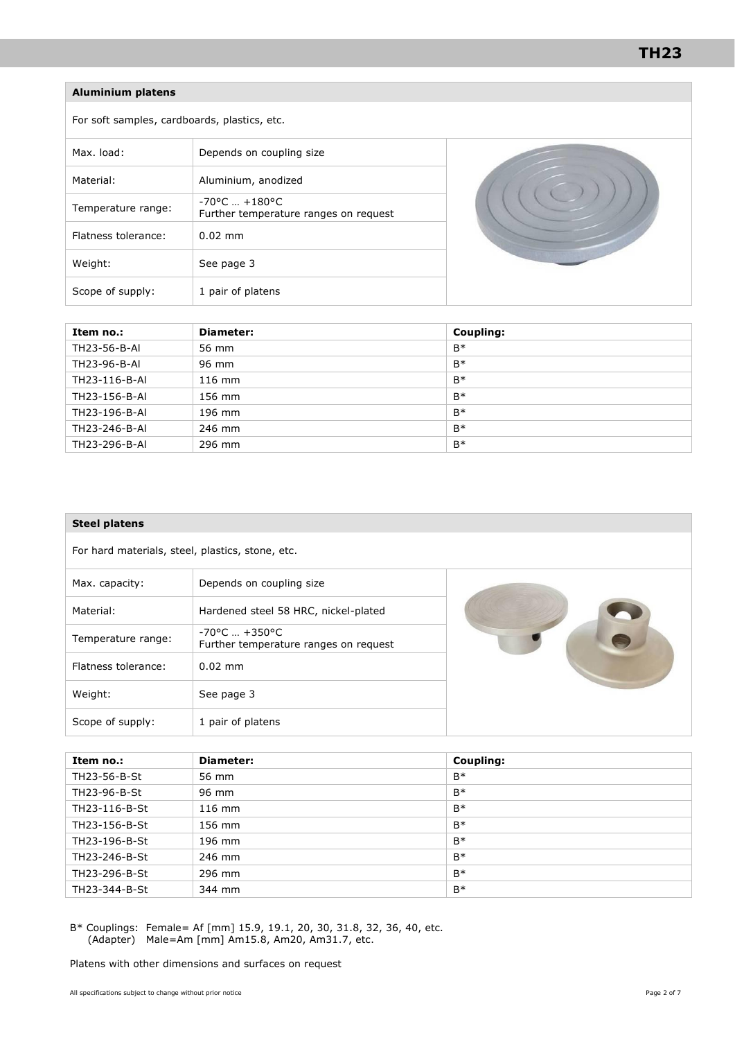### **Aluminium platens**

For soft samples, cardboards, plastics, etc.

| Max. load:          | Depends on coupling size                                                  |  |
|---------------------|---------------------------------------------------------------------------|--|
| Material:           | Aluminium, anodized                                                       |  |
| Temperature range:  | $-70^{\circ}$ C $+180^{\circ}$ C<br>Further temperature ranges on request |  |
| Flatness tolerance: | $0.02$ mm                                                                 |  |
| Weight:             | See page 3                                                                |  |
| Scope of supply:    | 1 pair of platens                                                         |  |

| Item no.:     | Diameter: | Coupling: |
|---------------|-----------|-----------|
| TH23-56-B-AI  | 56 mm     | $B*$      |
| TH23-96-B-AI  | 96 mm     | $B*$      |
| TH23-116-B-AI | $116$ mm  | $B*$      |
| TH23-156-B-AI | 156 mm    | $B*$      |
| TH23-196-B-AI | 196 mm    | $B*$      |
| TH23-246-B-AI | 246 mm    | $B*$      |
| TH23-296-B-AI | 296 mm    | $B*$      |

| <b>Steel platens</b>                             |                                                                           |  |  |
|--------------------------------------------------|---------------------------------------------------------------------------|--|--|
| For hard materials, steel, plastics, stone, etc. |                                                                           |  |  |
| Max. capacity:                                   | Depends on coupling size                                                  |  |  |
| Material:                                        | Hardened steel 58 HRC, nickel-plated                                      |  |  |
| Temperature range:                               | $-70^{\circ}$ C $+350^{\circ}$ C<br>Further temperature ranges on request |  |  |
| Flatness tolerance:                              | $0.02$ mm                                                                 |  |  |
| Weight:                                          | See page 3                                                                |  |  |
| Scope of supply:                                 | 1 pair of platens                                                         |  |  |

| Item no.:     | <b>Diameter:</b> | Coupling: |
|---------------|------------------|-----------|
| TH23-56-B-St  | 56 mm            | $B*$      |
| TH23-96-B-St  | 96 mm            | $B*$      |
| TH23-116-B-St | $116$ mm         | $B*$      |
| TH23-156-B-St | 156 mm           | $B*$      |
| TH23-196-B-St | 196 mm           | $B*$      |
| TH23-246-B-St | 246 mm           | $B*$      |
| TH23-296-B-St | 296 mm           | $B*$      |
| TH23-344-B-St | 344 mm           | $B*$      |

B\* Couplings: Female= Af [mm] 15.9, 19.1, 20, 30, 31.8, 32, 36, 40, etc. (Adapter) Male=Am [mm] Am15.8, Am20, Am31.7, etc.

Platens with other dimensions and surfaces on request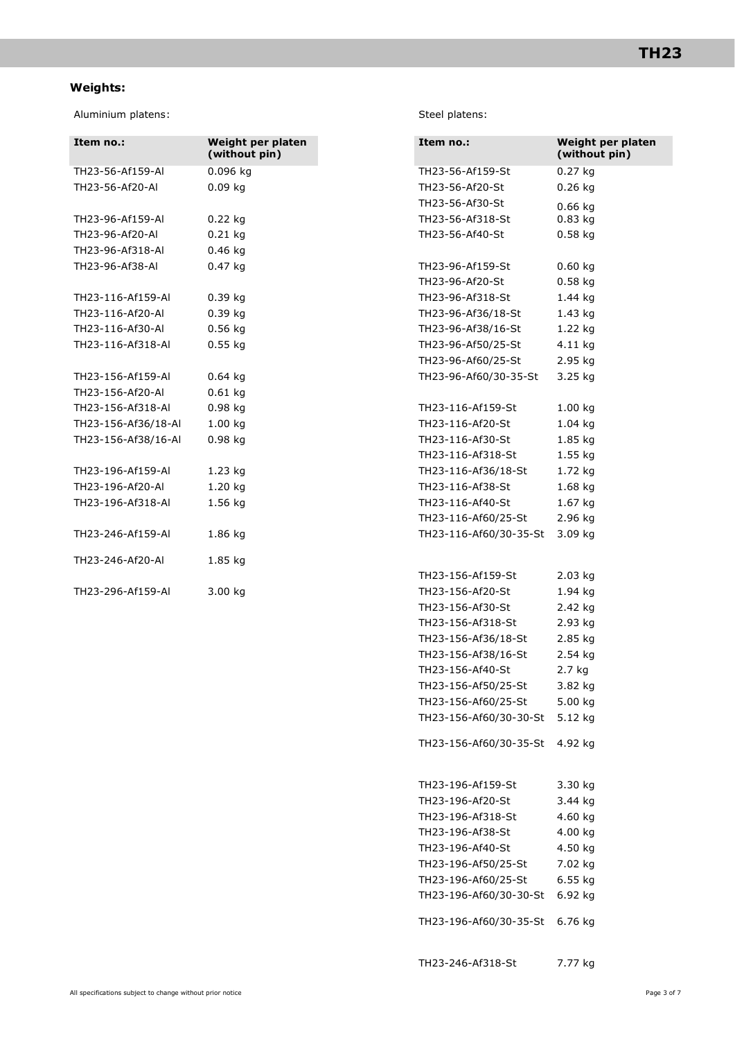## **Weights:**

Aluminium platens: Steel platens:

| Item no.:           | Weight per platen<br>(without pin) | Item no.:              | Weight<br>(witho |
|---------------------|------------------------------------|------------------------|------------------|
| TH23-56-Af159-AI    | 0.096 kg                           | TH23-56-Af159-St       | $0.27$ kg        |
| TH23-56-Af20-Al     | $0.09$ kg                          | TH23-56-Af20-St        | $0.26$ kg        |
|                     |                                    | TH23-56-Af30-St        | $0.66$ $kg$      |
| TH23-96-Af159-Al    | $0.22$ kg                          | TH23-56-Af318-St       | $0.83$ kg        |
| TH23-96-Af20-AI     | $0.21$ kg                          | TH23-56-Af40-St        | $0.58$ kg        |
| TH23-96-Af318-AI    | $0.46$ kg                          |                        |                  |
| TH23-96-Af38-AI     | $0.47$ kg                          | TH23-96-Af159-St       | $0.60$ kg        |
|                     |                                    | TH23-96-Af20-St        | $0.58$ kg        |
| TH23-116-Af159-Al   | $0.39$ kg                          | TH23-96-Af318-St       | 1.44 kg          |
| TH23-116-Af20-Al    | $0.39$ kg                          | TH23-96-Af36/18-St     | 1.43 kg          |
| TH23-116-Af30-AI    | $0.56$ kg                          | TH23-96-Af38/16-St     | 1.22 kg          |
| TH23-116-Af318-Al   | $0.55$ kg                          | TH23-96-Af50/25-St     | 4.11 kg          |
|                     |                                    | TH23-96-Af60/25-St     | 2.95 kg          |
| TH23-156-Af159-Al   | $0.64$ kg                          | TH23-96-Af60/30-35-St  | 3.25 kg          |
| TH23-156-Af20-AI    | $0.61$ kg                          |                        |                  |
| TH23-156-Af318-Al   | $0.98$ kg                          | TH23-116-Af159-St      | 1.00 kg          |
| TH23-156-Af36/18-Al | 1.00 kg                            | TH23-116-Af20-St       | $1.04$ kg        |
| TH23-156-Af38/16-Al | $0.98$ kg                          | TH23-116-Af30-St       | 1.85 kg          |
|                     |                                    | TH23-116-Af318-St      | 1.55 kg          |
| TH23-196-Af159-Al   | $1.23$ kg                          | TH23-116-Af36/18-St    | 1.72 kg          |
| TH23-196-Af20-Al    | $1.20$ kg                          | TH23-116-Af38-St       | 1.68 kg          |
| TH23-196-Af318-Al   | 1.56 kg                            | TH23-116-Af40-St       | 1.67 kg          |
|                     |                                    | TH23-116-Af60/25-St    | 2.96 kg          |
| TH23-246-Af159-Al   | 1.86 kg                            | TH23-116-Af60/30-35-St | 3.09 kg          |
| TH23-246-Af20-Al    | 1.85 kg                            |                        |                  |
|                     |                                    | TH23-156-Af159-St      | 2.03 kg          |
| TH23-296-Af159-AI   | 3.00 kg                            | TH23-156-Af20-St       | 1.94 kg          |

| Item no.:                      | Weight per platen<br>(without pin) |
|--------------------------------|------------------------------------|
| TH23-56-Af159-St               | 0.27 kg                            |
| TH23-56-Af20-St                | $0.26$ kg                          |
| TH23-56-Af30-St                | $0.66$ kg                          |
| TH23-56-Af318-St               | $0.83$ kg                          |
| TH23-56-Af40-St                | 0.58 kg                            |
|                                |                                    |
| TH23-96-Af159-St               | $0.60$ kg                          |
| TH23-96-Af20-St                | $0.58$ kg                          |
| TH23-96-Af318-St               | 1.44 kg                            |
| TH23-96-Af36/18-St             | 1.43 kg                            |
| TH23-96-Af38/16-St             | 1.22 kg                            |
| TH23-96-Af50/25-St             | 4.11 kg                            |
| TH23-96-Af60/25-St             | 2.95 kg                            |
| TH23-96-Af60/30-35-St          | 3.25 kg                            |
| TH23-116-Af159-St              | $1.00$ kg                          |
| TH23-116-Af20-St               | $1.04$ kg                          |
| TH23-116-Af30-St               | 1.85 kg                            |
| TH23-116-Af318-St              | $1.55$ kg                          |
| TH23-116-Af36/18-St            | 1.72 kg                            |
| TH23-116-Af38-St               | 1.68 kg                            |
| TH23-116-Af40-St               | 1.67 kg                            |
| TH23-116-Af60/25-St            | 2.96 kg                            |
| TH23-116-Af60/30-35-St         | 3.09 kg                            |
|                                |                                    |
| TH23-156-Af159-St              | 2.03 kg                            |
| TH23-156-Af20-St               | 1.94 kg                            |
| TH23-156-Af30-St               | 2.42 kg                            |
| TH23-156-Af318-St              | 2.93 kg                            |
| TH23-156-Af36/18-St            | 2.85 kg                            |
| TH23-156-Af38/16-St            | 2.54 kg                            |
| TH23-156-Af40-St               | 2.7 kg                             |
| TH23-156-Af50/25-St            | 3.82 kg                            |
| TH23-156-Af60/25-St            | 5.00 kg                            |
| TH23-156-Af60/30-30-St 5.12 kg |                                    |
|                                |                                    |
| TH23-156-Af60/30-35-St 4.92 kg |                                    |
|                                |                                    |
| TH23-196-Af159-St              | 3.30 kg                            |
| TH23-196-Af20-St               | 3.44 kg                            |
| TH23-196-Af318-St              | 4.60 kg                            |
| TH23-196-Af38-St               | 4.00 kg                            |
| TH23-196-Af40-St               | 4.50 kg                            |
| TH23-196-Af50/25-St            | 7.02 kg                            |
| TH23-196-Af60/25-St            | 6.55 kg                            |
| TH23-196-Af60/30-30-St 6.92 kg |                                    |
| TH23-196-Af60/30-35-St 6.76 kg |                                    |
|                                |                                    |
|                                |                                    |

TH23-246-Af318-St 7.77 kg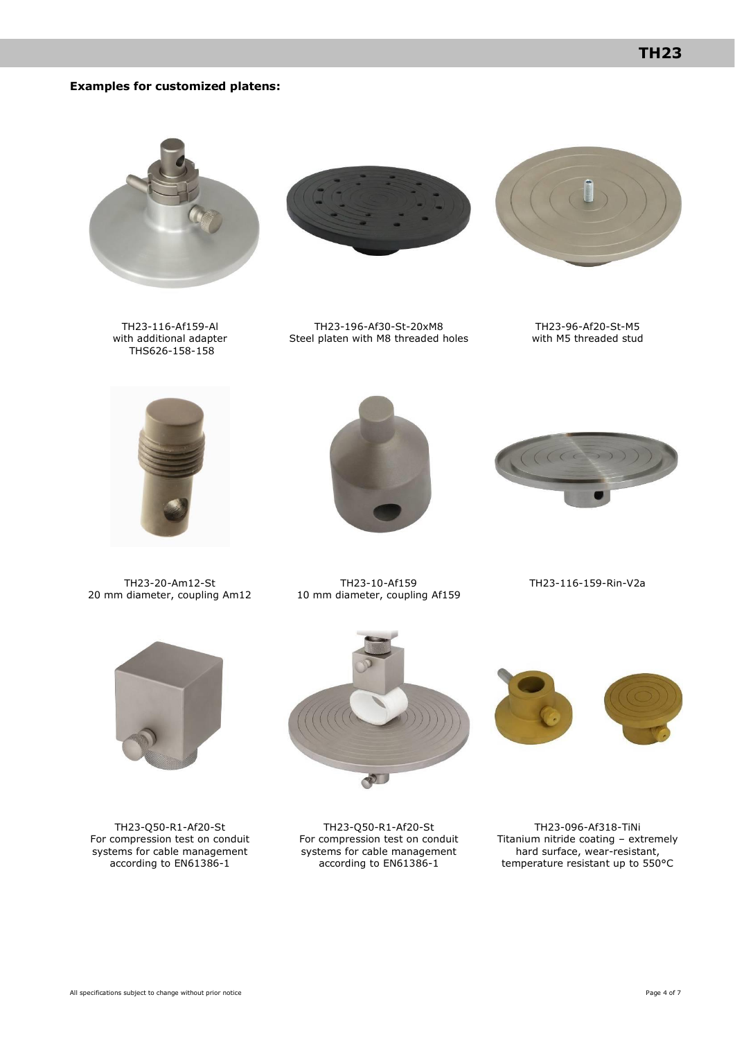#### **Examples for customized platens:**



TH23-116-Af159-Al with additional adapter THS626-158-158



TH23-196-Af30-St-20xM8 Steel platen with M8 threaded holes



TH23-96-Af20-St-M5 with M5 threaded stud



TH23-20-Am12-St 20 mm diameter, coupling Am12





TH23-10-Af159 10 mm diameter, coupling Af159

TH23-116-159-Rin-V2a



TH23-Q50-R1-Af20-St For compression test on conduit systems for cable management according to EN61386-1



TH23-Q50-R1-Af20-St For compression test on conduit systems for cable management according to EN61386-1



TH23-096-Af318-TiNi Titanium nitride coating – extremely hard surface, wear-resistant, temperature resistant up to 550°C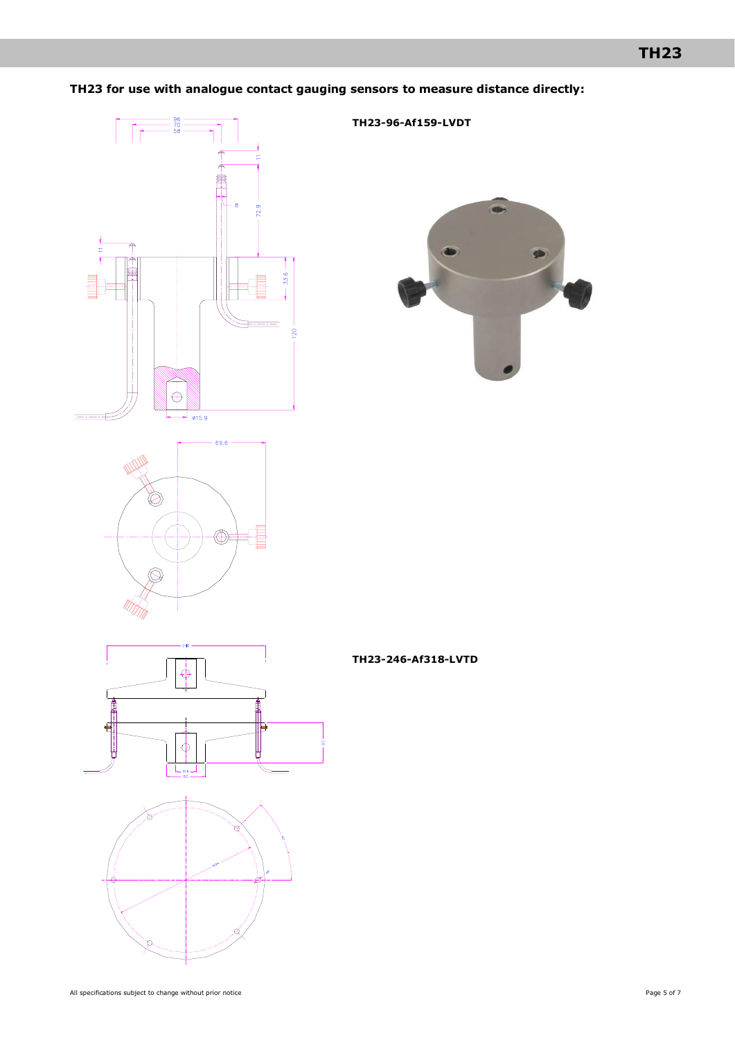## **TH23 for use with analogue contact gauging sensors to measure distance directly:**

**TH23-96-Af159-LVDT**



 $\bullet$ 





**TH23-246-Af318-LVTD**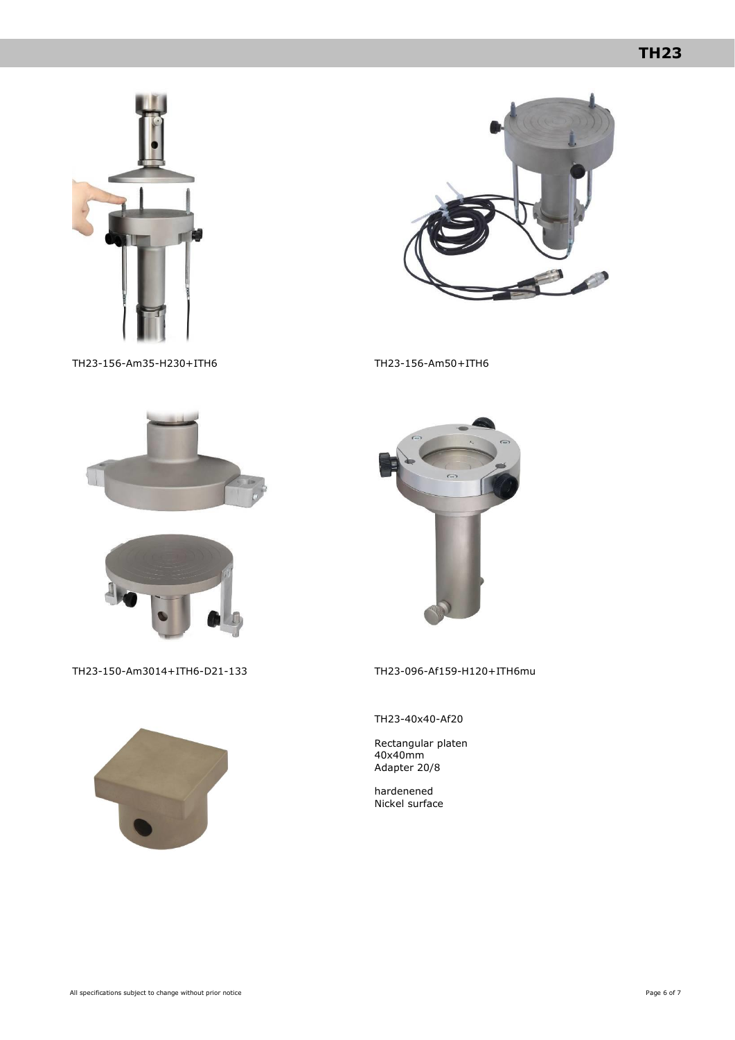# **TH23**





TH23-156-Am35-H230+ITH6 TH23-156-Am50+ITH6







TH23-150-Am3014+ITH6-D21-133 TH23-096-Af159-H120+ITH6mu



TH23-40x40-Af20

Rectangular platen 40x40mm Adapter 20/8

hardenened Nickel surface